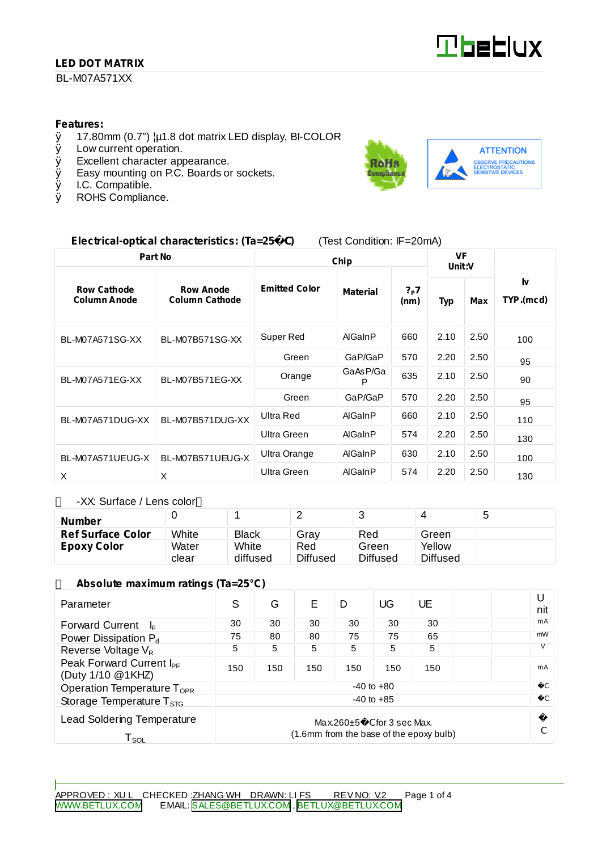#### **LED DOT MATRIX**

BL-M07A571XX

#### **Features:**

- $\emptyset$  17.80mm (0.7")  $\mu$ 1.8 dot matrix LED display, BI-COLOR <br> $\emptyset$  Low current operation.
- Low current operation.
- Ø Excellent character appearance.
- $\emptyset$  Easy mounting on P.C. Boards or sockets.<br> $\emptyset$  I.C. Compatible.
- Ø I.C. Compatible.<br>Ø ROHS Complian
- ROHS Compliance.



#### **Electrical-optical characteristics: (Ta=25** C**)** (Test Condition: IF=20mA)

| Part No                                   |                                           | Chip                 |                 |                           | <b>VF</b><br>Unit:V |      |                 |
|-------------------------------------------|-------------------------------------------|----------------------|-----------------|---------------------------|---------------------|------|-----------------|
| <b>Row Cathode</b><br><b>Column Anode</b> | <b>Row Anode</b><br><b>Column Cathode</b> | <b>Emitted Color</b> | <b>Material</b> | $?_{\mathsf{P}}7$<br>(nm) | Typ                 | Max  | Ιv<br>TYP.(mcd) |
| <b>BL-M07A571SG-XX</b>                    | BL-M07B571SG-XX                           | Super Red            | AlGaInP         | 660                       | 2.10                | 2.50 | 100             |
|                                           |                                           | Green                | GaP/GaP         | 570                       | 2.20                | 2.50 | 95              |
| BL-M07A571EG-XX                           | BL-M07B571EG-XX                           | Orange               | GaAsP/Ga<br>P   | 635                       | 2.10                | 2.50 | 90              |
|                                           |                                           | Green                | GaP/GaP         | 570                       | 2.20                | 2.50 | 95              |
| BL-M07A571DUG-XX                          | BL-M07B571DUG-XX                          | Ultra Red            | AlGaInP         | 660                       | 2.10                | 2.50 | 110             |
|                                           |                                           | Ultra Green          | AlGaInP         | 574                       | 2.20                | 2.50 | 130             |
| BL-M07A571UEUG-X                          | BL-M07B571UEUG-X                          | Ultra Orange         | AlGaInP         | 630                       | 2.10                | 2.50 | 100             |
| X                                         | X                                         | Ultra Green          | AlGaInP         | 574                       | 2.20                | 2.50 | 130             |

-XX: Surface / Lens color

| Number                   |       |              |                 |                 |          | J |
|--------------------------|-------|--------------|-----------------|-----------------|----------|---|
| <b>Ref Surface Color</b> | White | <b>Black</b> | Gray            | Red             | Green    |   |
| Epoxy Color              | Water | White        | Red             | Green           | Yellow   |   |
|                          | clear | diffused     | <b>Diffused</b> | <b>Diffused</b> | Diffused |   |

#### **Absolute maximum ratings (Ta=25°C)**

| Parameter                                                                                                                            | S              | G   | F   | D   | UG  | UE  |  | U<br>nit      |
|--------------------------------------------------------------------------------------------------------------------------------------|----------------|-----|-----|-----|-----|-----|--|---------------|
| <b>Forward Current</b><br>l⊧                                                                                                         | 30             | 30  | 30  | 30  | 30  | 30  |  | mA            |
| Power Dissipation P <sub>d</sub>                                                                                                     | 75             | 80  | 80  | 75  | 75  | 65  |  | mW            |
| Reverse Voltage V <sub>R</sub>                                                                                                       | 5              | 5   | 5   | 5   | 5   | 5   |  |               |
| Peak Forward Current I <sub>PF</sub><br>(Duty 1/10 @1KHZ)                                                                            | 150            | 150 | 150 | 150 | 150 | 150 |  | mA            |
| Operation Temperature $T_{\text{OPR}}$                                                                                               | $-40$ to $+80$ |     |     |     |     |     |  |               |
| Storage Temperature $T_{\rm STG}$                                                                                                    | $-40$ to $+85$ |     |     |     |     |     |  | $\mathcal{C}$ |
| <b>Lead Soldering Temperature</b><br>$Max.260 \pm 5$ C for 3 sec Max.<br>(1.6mm from the base of the epoxy bulb)<br>T <sub>sol</sub> |                |     |     |     |     |     |  |               |

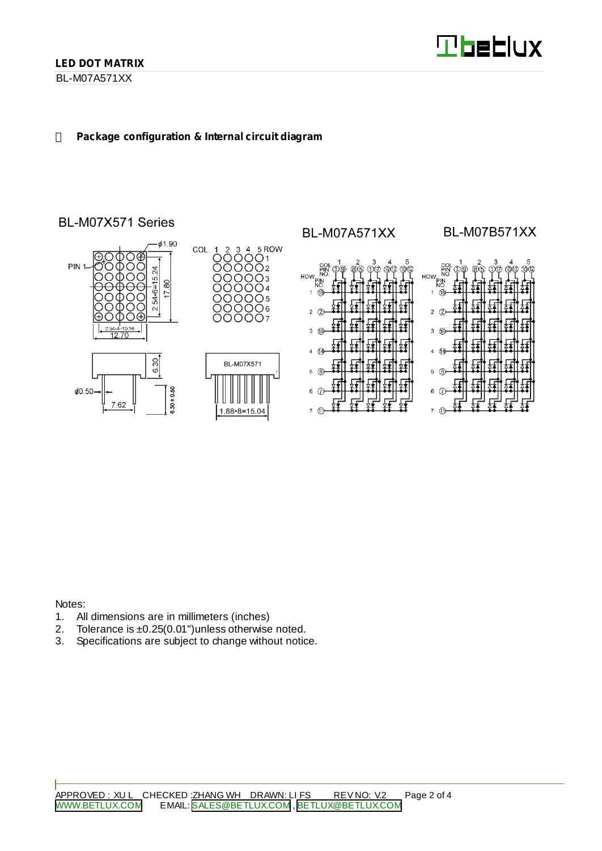BL-M07A571XX

#### **Package configuration & Internal circuit diagram**

## BL-M07X571 Series



Notes:

- 1. All dimensions are in millimeters (inches)<br>2. Tolerance is  $\pm 0.25(0.01")$  unless otherwise
- 2. Tolerance is  $\pm 0.25(0.01")$  unless otherwise noted.<br>3. Specifications are subject to change without notic
- Specifications are subject to change without notice.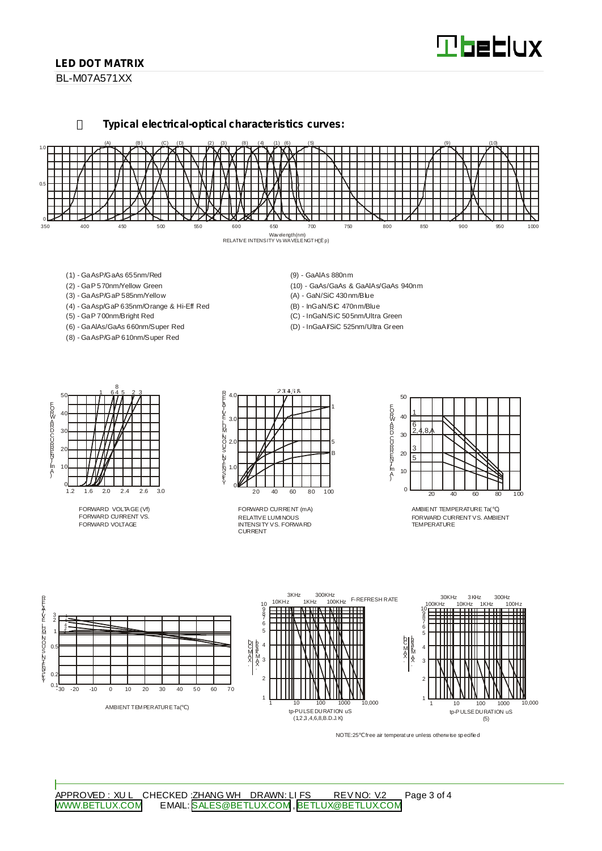# **Tbeblux**

#### **LED DOT MATRIX**

BL-M07A571XX

**Typical electrical-optical characteristics curves:**



- (1) GaAsP/GaAs 655nm/Red
- (2) GaP 570nm/Yellow Green
- (3) GaAsP/GaP 585nm/Yellow
- (4) GaAsp/GaP 635nm/Orange & Hi-Eff Red
- (5) GaP 700nm/Bright Red
- (6) GaAlAs/GaAs 660nm/Super Red
- (8) GaAsP/GaP 610nm/Super Red
- (9) GaAlAs 880nm
- (10) GaAs/GaAs & GaAlAs/GaAs 940nm
- (A) GaN/SiC 430nm/Blue
- (B) InGaN/SiC 470nm/Blue
- (C) InGaN/SiC 505nm/Ultra Green
- (D) InGaAl/SiC 525nm/Ultra Green



FORWARD VOLTAGE (Vf) FORWARD CURRENT VS. FORWARD VOLTAGE



RELATIVE LUMINOUS INTENSITY VS. FORWARD CURRENT FORWARD CURRENT (mA)



AMBIENT TEMPERATURE Ta( ) FORWARD CURRENTVS. AMBIENT TEMPERATURE



NOTE:25 free air temperature unless otherwise specified